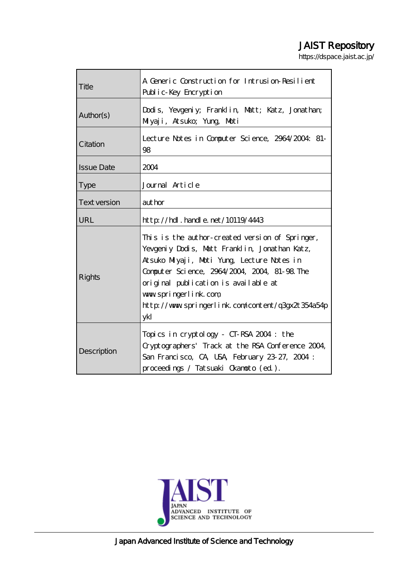# JAIST Repository

https://dspace.jaist.ac.jp/

| Title               | A Generic Construction for Intrusion-Resilient                                                                                                                                                                                                                                                                             |  |  |
|---------------------|----------------------------------------------------------------------------------------------------------------------------------------------------------------------------------------------------------------------------------------------------------------------------------------------------------------------------|--|--|
|                     | Public-Key Encryption                                                                                                                                                                                                                                                                                                      |  |  |
| Author(s)           | Dodis, Yevgeniy, Franklin, Matt; Katz, Jonathan;<br>Milyaji, Atsuko; Yung, Moti                                                                                                                                                                                                                                            |  |  |
| Citation            | Lecture Notes in Computer Science, 2964/2004: 81-<br>98                                                                                                                                                                                                                                                                    |  |  |
| <b>Issue Date</b>   | 2004                                                                                                                                                                                                                                                                                                                       |  |  |
| <b>Type</b>         | Journal Article                                                                                                                                                                                                                                                                                                            |  |  |
| <b>Text version</b> | aut hor                                                                                                                                                                                                                                                                                                                    |  |  |
| URL                 | http://hdl.handle.net/10119/4443                                                                                                                                                                                                                                                                                           |  |  |
| <b>Rights</b>       | This is the author-created version of Springer,<br>Yevgeniy Dodis, Matt Franklin, Jonathan Katz,<br>Atsuko Miyaji, Moti Yung, Lecture Notes in<br>Computer Science, 2964/2004, 2004, 81-98 The<br>original publication is available at<br>www.springerlink.com<br>http://www.springerlink.com/content/q3gx2t354a54p<br>ykl |  |  |
| Description         | Topics in cryptology - CT-RSA 2004 : the<br>Cryptographers' Track at the RSA Conference 2004,<br>San Francisco, CA, USA, February 23-27, 2004:<br>proceedings / Tatsuaki Okanoto (ed.).                                                                                                                                    |  |  |

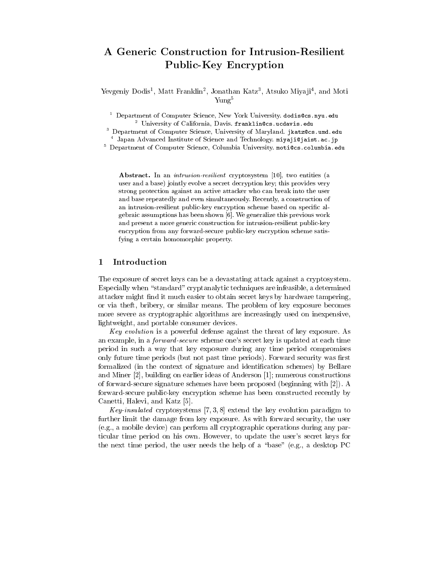## A Generic Construction for Intrusion-Resilient **Public-Key Encryption**

Yevgeniy Dodis<sup>1</sup>, Matt Franklin<sup>2</sup>, Jonathan Katz<sup>3</sup>, Atsuko Miyaji<sup>4</sup>, and Moti  $Y$ ung $^5$ 

<sup>1</sup> Department of Computer Science, New York University. dodis@cs.nyu.edu  $^2$  University of California, Davis. franklin@cs.ucdavis.edu

<sup>3</sup> Department of Computer Science, University of Maryland. jkatz@cs.umd.edu <sup>4</sup> Japan Advanced Institute of Science and Technology. miyaji@jaist.ac.jp

<sup>5</sup> Department of Computer Science, Columbia University. moti@cs.columbia.edu

**Abstract.** In an *intrusion-resilient* cryptosystem [10], two entities (a user and a base) jointly evolve a secret decryption key; this provides very strong protection against an active attacker who can break into the user and base repeatedly and even simultaneously. Recently, a construction of an intrusion-resilient public-key encryption scheme based on specific algebraic assumptions has been shown [6]. We generalize this previous work and present a more generic construction for intrusion-resilient public-key encryption from any forward-secure public-key encryption scheme satisfying a certain homomorphic property.

#### $\mathbf 1$ Introduction

The exposure of secret keys can be a devastating attack against a cryptosystem. Especially when "standard" cryptanalytic techniques are infeasible, a determined attacker might find it much easier to obtain secret keys by hardware tampering. or via theft, bribery, or similar means. The problem of key exposure becomes more severe as cryptographic algorithms are increasingly used on inexpensive, lightweight, and portable consumer devices.

Key evolution is a powerful defense against the threat of key exposure. As an example, in a *forward-secure* scheme one's secret key is updated at each time period in such a way that key exposure during any time period compromises only future time periods (but not past time periods). Forward security was first formalized (in the context of signature and identification schemes) by Bellare and Miner [2], building on earlier ideas of Anderson [1]; numerous constructions of forward-secure signature schemes have been proposed (beginning with [2]). A forward-secure public-key encryption scheme has been constructed recently by Canetti, Halevi, and Katz [5].

Key-insulated cryptosystems [7, 3, 8] extend the key evolution paradigm to further limit the damage from key exposure. As with forward security, the user (e.g., a mobile device) can perform all cryptographic operations during any particular time period on his own. However, to update the user's secret keys for the next time period, the user needs the help of a "base" (e.g., a desktop PC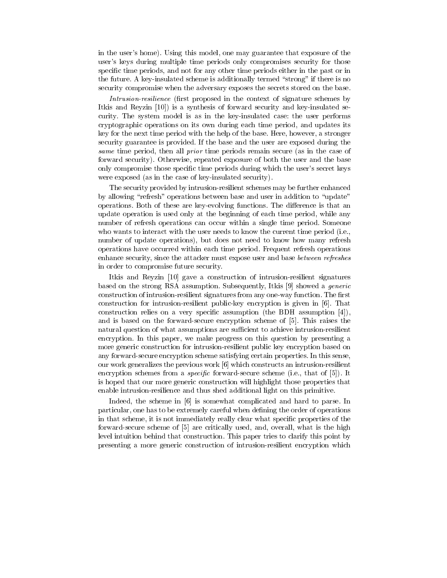in the user's home). Using this model, one may guarantee that exposure of the user's keys during multiple time periods only compromises security for those specific time periods, and not for any other time periods either in the past or in the future. A key-insulated scheme is additionally termed "strong" if there is no security compromise when the adversary exposes the secrets stored on the base.

*Intrusion-resilience* (first proposed in the context of signature schemes by It kis and Reyzin  $[10]$  is a synthesis of forward security and key-insulated security. The system model is as in the key-insulated case: the user performs cryptographic operations on its own during each time period, and updates its key for the next time period with the help of the base. Here, however, a stronger security guarantee is provided. If the base and the user are exposed during the same time period, then all prior time periods remain secure (as in the case of forward security). Otherwise, repeated exposure of both the user and the base only compromise those specific time periods during which the user's secret keys were exposed (as in the case of key-insulated security).

The security provided by intrusion-resilient schemes may be further enhanced by allowing "refresh" operations between base and user in addition to "update" operations. Both of these are key-evolving functions. The difference is that an update operation is used only at the beginning of each time period, while any number of refresh operations can occur within a single time period. Someone who wants to interact with the user needs to know the current time period (i.e., number of update operations), but does not need to know how many refresh operations have occurred within each time period. Frequent refresh operations enhance security, since the attacker must expose user and base *between refreshes* in order to compromise future security.

Itkis and Reyzin [10] gave a construction of intrusion-resilient signatures based on the strong RSA assumption. Subsequently, Itkis [9] showed a *generic* construction of intrusion-resilient signatures from any one-way function. The first construction for intrusion-resilient public-key encryption is given in [6]. That construction relies on a very specific assumption (the BDH assumption  $[4]$ ), and is based on the forward-secure encryption scheme of [5]. This raises the natural question of what assumptions are sufficient to achieve intrusion-resilient encryption. In this paper, we make progress on this question by presenting a more generic construction for intrusion-resilient public key encryption based on any forward-secure encryption scheme satisfying certain properties. In this sense, our work generalizes the previous work [6] which constructs an intrusion-resilient encryption schemes from a *specific* forward-secure scheme (i.e., that of  $[5]$ ). It is hoped that our more generic construction will highlight those properties that enable intrusion-resilience and thus shed additional light on this primitive.

Indeed, the scheme in [6] is somewhat complicated and hard to parse. In particular, one has to be extremely careful when defining the order of operations in that scheme, it is not immediately really clear what specific properties of the forward-secure scheme of [5] are critically used, and, overall, what is the high level intuition behind that construction. This paper tries to clarify this point by presenting a more generic construction of intrusion-resilient encryption which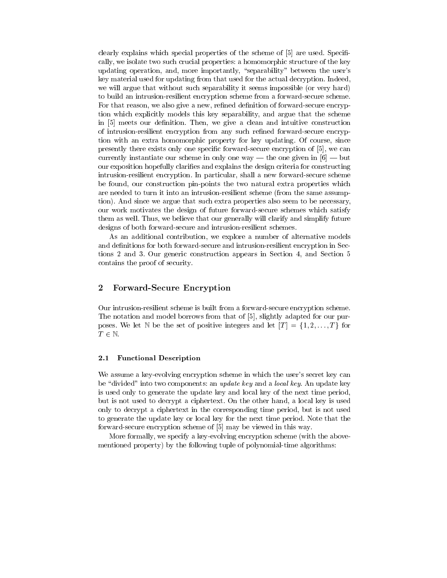clearly explains which special properties of the scheme of [5] are used. Specifically, we isolate two such crucial properties: a homomorphic structure of the key updating operation, and, more importantly, "separability" between the user's key material used for updating from that used for the actual decryption. Indeed, we will argue that without such separability it seems impossible (or very hard) to build an intrusion-resilient encryption scheme from a forward-secure scheme. For that reason, we also give a new, refined definition of forward-secure encryption which explicitly models this key separability, and argue that the scheme in [5] meets our definition. Then, we give a clean and intuitive construction of intrusion-resilient encryption from any such refined forward-secure encryption with an extra homomorphic property for key updating. Of course, since presently there exists only one specific forward-secure encryption of [5], we can currently instantiate our scheme in only one way — the one given in  $[6]$  — but our exposition hopefully clarifies and explains the design criteria for constructing intrusion-resilient encryption. In particular, shall a new forward-secure scheme be found, our construction pin-points the two natural extra properties which are needed to turn it into an intrusion-resilient scheme (from the same assumption). And since we argue that such extra properties also seem to be necessary, our work motivates the design of future forward-secure schemes which satisfy them as well. Thus, we believe that our generally will clarify and simplify future designs of both forward-secure and intrusion-resilient schemes.

As an additional contribution, we explore a number of alternative models and definitions for both forward-secure and intrusion-resilient encryption in Sections 2 and 3. Our generic construction appears in Section 4, and Section 5 contains the proof of security.

#### $\boldsymbol{2}$ **Forward-Secure Encryption**

Our intrusion-resilient scheme is built from a forward-secure encryption scheme. The notation and model borrows from that of [5], slightly adapted for our purposes. We let N be the set of positive integers and let  $[T] = \{1, 2, ..., T\}$  for  $T \in \mathbb{N}$ .

#### **Functional Description**  $2.1\,$

We assume a key-evolving encryption scheme in which the user's secret key can be "divided" into two components: an *update key* and a *local key*. An update key is used only to generate the update key and local key of the next time period, but is not used to decrypt a ciphertext. On the other hand, a local key is used only to decrypt a ciphertext in the corresponding time period, but is not used to generate the update key or local key for the next time period. Note that the forward-secure encryption scheme of [5] may be viewed in this way.

More formally, we specify a key-evolving encryption scheme (with the abovementioned property) by the following tuple of polynomial-time algorithms: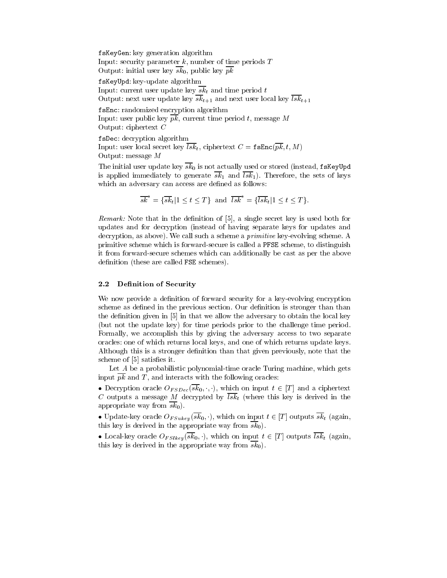fsKeyGen: key generation algorithm Input: security parameter  $k$ , number of time periods  $T$ Output: initial user key  $s\overline{k_0}$ , public key  $\overline{pk}$ 

fsKeyUpd: key-update algorithm Input: current user update key  $\overline{sk}_t$  and time period t Output: next user update key  $\overline{sk}_{t+1}$  and next user local key  $\overline{lsk}_{t+1}$ 

fsEnc: randomized encryption algorithm Input: user public key  $pk$ , current time period t, message M Output: ciphertext  $C$ 

fsDec: decryption algorithm Input: user local secret key  $\overline{lsk}_t$ , ciphertext  $C = \texttt{fsEnc}(\overline{pk}, t, M)$ Output: message  $M$ 

The initial user update key  $\overline{sk}_0$  is not actually used or stored (instead, fsKeyUpd is applied immediately to generate  $\overline{sk}_1$  and  $\overline{lsk}_1$ ). Therefore, the sets of keys which an adversary can access are defined as follows:

$$
\overline{sk}^* = \{ \overline{sk}_t | 1 \le t \le T \} \text{ and } \overline{lsk}^* = \{ \overline{lsk}_t | 1 \le t \le T \}.
$$

*Remark:* Note that in the definition of [5], a single secret key is used both for updates and for decryption (instead of having separate keys for updates and decryption, as above). We call such a scheme a *primitive* key-evolving scheme. A primitive scheme which is forward-secure is called a PFSE scheme, to distinguish it from forward-secure schemes which can additionally be cast as per the above definition (these are called FSE schemes).

#### $2.2$ **Definition of Security**

We now provide a definition of forward security for a key-evolving encryption scheme as defined in the previous section. Our definition is stronger than than the definition given in [5] in that we allow the adversary to obtain the local key (but not the update key) for time periods prior to the challenge time period. Formally, we accomplish this by giving the adversary access to two separate oracles: one of which returns local keys, and one of which returns update keys. Although this is a stronger definition than that given previously, note that the scheme of [5] satisfies it.

Let A be a probabilistic polynomial-time oracle Turing machine, which gets input  $pk$  and  $T$ , and interacts with the following oracles:

• Decryption oracle  $O_{FSDec}(\overline{sk}_0, \cdot, \cdot)$ , which on input  $t \in [T]$  and a ciphertext C outputs a message M decrypted by  $\overline{lsk}_t$  (where this key is derived in the appropriate way from  $sk_0$ ).

• Update-key oracle  $O_{FSukey}(\overline{sk}_0, \cdot)$ , which on input  $t \in [T]$  outputs  $\overline{sk}_t$  (again, this key is derived in the appropriate way from  $sk_0$ ).

• Local-key oracle  $O_{FSlkey}(\overline{sk}_0, \cdot)$ , which on input  $t \in [T]$  outputs  $\overline{lsk}_t$  (again, this key is derived in the appropriate way from  $s\overline{k}_0$ ).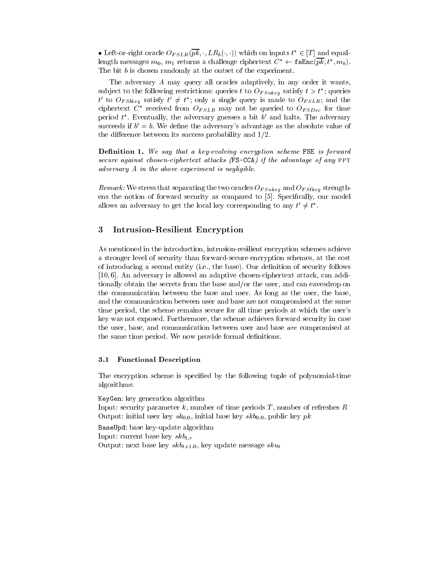• Left-or-right oracle  $O_{FSLR}(\overline{pk}, \cdot, LR_b(\cdot, \cdot))$  which on inputs  $t^* \in [T]$  and equallength messages  $m_0$ ,  $m_1$  returns a challenge ciphertext  $C^* \leftarrow \texttt{fsEnc}(\overline{pk}, t^*, m_b)$ . The bit  $b$  is chosen randomly at the outset of the experiment.

The adversary A may query all oracles adaptively, in any order it wants, subject to the following restrictions: queries t to  $O_{FSukey}$  satisfy  $t > t^*$ ; queries  $t'$  to  $O_{FSlkey}$  satisfy  $t' \neq t^*$ ; only a single query is made to  $O_{FSLR}$ ; and the ciphertext  $C^*$  received from  $O_{FSLR}$  may not be queried to  $O_{FSDec}$  for time period  $t^*$ . Eventually, the adversary guesses a bit  $b'$  and halts. The adversary succeeds if  $b' = b$ . We define the adversary's advantage as the absolute value of the difference between its success probability and  $1/2$ .

**Definition 1.** We say that a key-evolving encryption scheme FSE is forward secure against chosen-ciphertext attacks (FS-CCA) if the advantage of any PPT  $adversary A$  in the above experiment is negligible.

Remark: We stress that separating the two oracles  $O_{FSukey}$  and  $O_{FSlkey}$  strengthens the notion of forward security as compared to [5]. Specifically, our model allows an adversary to get the local key corresponding to any  $t' \neq t^*$ .

#### **Intrusion-Resilient Encryption** 3

As mentioned in the introduction, intrusion-resilient encryption schemes achieve a stronger level of security than forward-secure encryption schemes, at the cost of introducing a second entity (i.e., the base). Our definition of security follows [10,6]. An adversary is allowed an adaptive chosen-ciphertext attack, can additionally obtain the secrets from the base and/or the user, and can eavesdrop on the communication between the base and user. As long as the user, the base, and the communication between user and base are not compromised at the same time period, the scheme remains secure for all time periods at which the user's key was not exposed. Furthermore, the scheme achieves forward security in case the user, base, and communication between user and base are compromised at the same time period. We now provide formal definitions.

#### $3.1$ **Functional Description**

The encryption scheme is specified by the following tuple of polynomial-time algorithms:

KeyGen: key generation algorithm Input: security parameter  $k$ , number of time periods  $T$ , number of refreshes  $R$ Output: initial user key  $sk_{0,0}$ , initial base key  $skb_{0,0}$ , public key pk

BaseUpd: base key-update algorithm Input: current base key  $skb_{t,r}$ Output: next base key  $skb_{t+1,0}$ , key update message  $sku_t$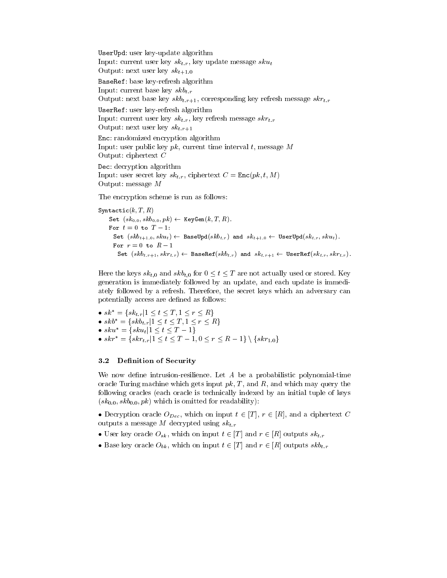UserUpd: user key-update algorithm Input: current user key  $sk_{t,r}$ , key update message  $sku_t$ Output: next user key  $sk_{t+1,0}$ 

BaseRef: base key-refresh algorithm Input: current base key  $skb_{t,r}$ 

Output: next base key  $skb_{t,r+1}$ , corresponding key refresh message  $skr_{t,r}$ 

UserRef: user key-refresh algorithm Input: current user key  $sk_{t,r}$ , key refresh message  $skr_{t,r}$ Output: next user key  $sk_{t,r+1}$ 

Enc: randomized encryption algorithm Input: user public key  $pk$ , current time interval  $t$ , message  $M$ 

Output: ciphertext  $C$ Dec: decryption algorithm Input: user secret key  $sk_{t,r}$ , ciphertext  $C = \text{Enc}(pk, t, M)$ Output: message  $M$ 

The encryption scheme is run as follows:

```
Syntactic(k, T, R)
Set (sk_{0,0}, skb_{0,0}, pk) \leftarrow \texttt{KeyGen}(k, T, R).
For t=0 to T-1:
  Set (skb_{t+1,0}, sku_t) \leftarrow BaseUpd(skb_{t,r}) and sk_{t+1,0} \leftarrow UserUpd(sk_{t,r}, sku_t).
  For r=0 to R-1Set (skb_{t,r+1}, skr_{t,r}) \leftarrow BaseRef(skb_{t,r}) and sk_{t,r+1} \leftarrow UserRef(sk_{t,r}, skr_{t,r}).
```
Here the keys  $sk_{t,0}$  and  $skb_{t,0}$  for  $0 \leq t \leq T$  are not actually used or stored. Key generation is immediately followed by an update, and each update is immediately followed by a refresh. Therefore, the secret keys which an adversary can potentially access are defined as follows:

•  $sk^* = \{sk_{t,r} | 1 \le t \le T, 1 \le r \le R\}$ •  $skb^* = \{skb_{t,r} | 1 \le t \le T, 1 \le r \le R\}$ •  $sku^* = \{sku_t | 1 \le t \le T-1\}$ •  $skr^* = \{ skr_{t,r} | 1 \le t \le T-1, 0 \le r \le R-1 \} \setminus \{ skr_{1,0} \}$ 

#### **Definition of Security**  $3.2$

We now define intrusion-resilience. Let  $A$  be a probabilistic polynomial-time oracle Turing machine which gets input  $pk$ , T, and R, and which may query the following oracles (each oracle is technically indexed by an initial tuple of keys  $(s k_{0.0}, s k b_{0.0}, p k)$  which is omitted for readability):

• Decryption oracle  $O_{Dec}$ , which on input  $t \in [T], r \in [R]$ , and a ciphertext C outputs a message M decrypted using  $sk_{t,r}$ 

- User key oracle  $O_{sk}$ , which on input  $t \in [T]$  and  $r \in [R]$  outputs  $sk_{t,r}$
- Base key oracle  $O_{bk}$ , which on input  $t \in [T]$  and  $r \in [R]$  outputs  $skb_{t,r}$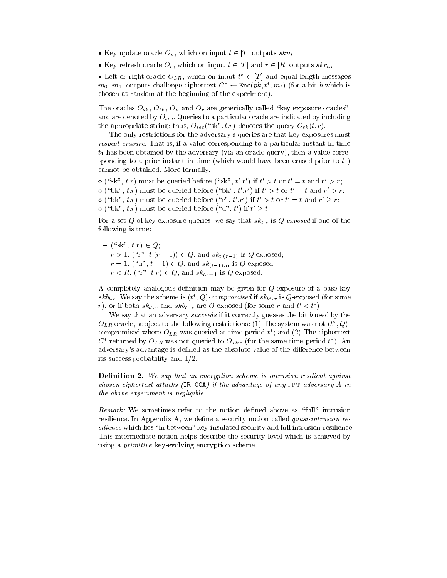- Key update oracle  $O_u$ , which on input  $t \in [T]$  outputs  $sku_t$
- Key refresh oracle  $O_r$ , which on input  $t \in [T]$  and  $r \in [R]$  outputs  $skr_{t,r}$

• Left-or-right oracle  $O_{LR}$ , which on input  $t^* \in [T]$  and equal-length messages  $m_0, m_1$ , outputs challenge ciphertext  $C^* \leftarrow \text{Enc}(pk, t^*, m_b)$  (for a bit b which is chosen at random at the beginning of the experiment).

The oracles  $O_{sk}$ ,  $O_{bk}$ ,  $O_u$  and  $O_r$  are generically called "key exposure oracles". and are denoted by  $O_{sec}$ . Queries to a particular oracle are indicated by including the appropriate string; thus,  $O_{sec}$  ("sk", t.r) denotes the query  $O_{sk}(t, r)$ .

The only restrictions for the adversary's queries are that key exposures must *respect erasure.* That is, if a value corresponding to a particular instant in time  $t_1$  has been obtained by the adversary (via an oracle query), then a value corresponding to a prior instant in time (which would have been erased prior to  $t_1$ ) cannot be obtained. More formally,

 $\Diamond$  ("sk", t.r) must be queried before ("sk", t'.r') if  $t' > t$  or  $t' = t$  and  $r' > r$ ;  $\Diamond$  ("bk", t.r) must be queried before ("bk", t'.r') if  $t' > t$  or  $t' = t$  and  $r' > r$ ;  $\Diamond$  ("bk", t.r) must be queried before ("r", t'.r') if  $t' > t$  or  $t' = t$  and  $r' \ge r$ ;  $\Diamond$  ("bk", t.r) must be queried before ("u", t') if  $t' \geq t$ .

For a set Q of key exposure queries, we say that  $sk_{t,r}$  is Q-exposed if one of the following is true:

 $-$  ("sk", t.r)  $\in Q$ ;  $-r > 1$ , ("r",  $t(r-1) \in Q$ , and  $sk_{t,(r-1)}$  is Q-exposed;  $-r=1$ , ("u",  $t-1$ )  $\in Q$ , and  $sk_{(t-1),R}$  is  $Q$ -exposed;  $-r < R$ , ("r", t.r)  $\in Q$ , and  $sk_{t,r+1}$  is Q-exposed.

A completely analogous definition may be given for Q-exposure of a base key  $skb_{t,r}$ . We say the scheme is  $(t^*,Q)$ -compromised if  $sk_{t^*,r}$  is Q-exposed (for some r), or if both  $sk_{t',r}$  and  $skb_{t',r}$  are Q-exposed (for some r and  $t' < t^*$ ).

We say that an adversary succeeds if it correctly guesses the bit  $b$  used by the  $O_{LR}$  oracle, subject to the following restrictions: (1) The system was not  $(t^*, Q)$ compromised where  $O_{LR}$  was queried at time period  $t^*$ ; and (2) The ciphertext  $C^*$  returned by  $O_{LR}$  was not queried to  $O_{Dec}$  (for the same time period  $t^*$ ). An adversary's advantage is defined as the absolute value of the difference between its success probability and  $1/2$ .

**Definition 2.** We say that an encryption scheme is intrusion-resilient against chosen-ciphertext attacks ( $IR-CCA$ ) if the advantage of any PPT adversary A in the above experiment is negligible.

*Remark:* We sometimes refer to the notion defined above as "full" intrusion resilience. In Appendix A, we define a security notion called *quasi-intrusion resilience* which lies "in between" key-insulated security and full intrusion-resilience. This intermediate notion helps describe the security level which is achieved by using a *primitive* key-evolving encryption scheme.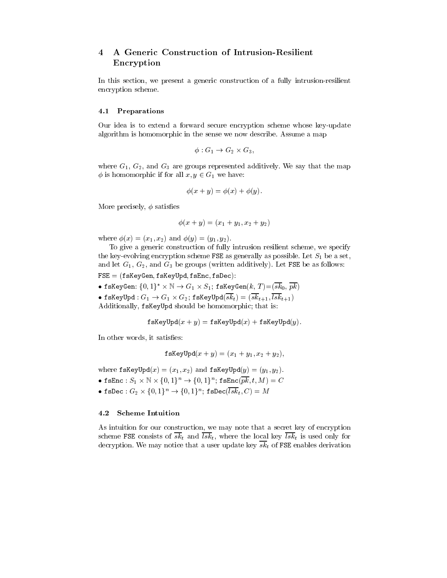### A Generic Construction of Intrusion-Resilient  $\overline{4}$ Encryption

In this section, we present a generic construction of a fully intrusion-resilient encryption scheme.

#### $4.1$ Preparations

Our idea is to extend a forward secure encryption scheme whose key-update algorithm is homomorphic in the sense we now describe. Assume a map

$$
\phi: G_1 \to G_2 \times G_3,
$$

where  $G_1, G_2$ , and  $G_3$  are groups represented additively. We say that the map  $\phi$  is homomorphic if for all  $x, y \in G_1$  we have:

$$
\phi(x + y) = \phi(x) + \phi(y).
$$

More precisely,  $\phi$  satisfies

$$
\phi(x + y) = (x_1 + y_1, x_2 + y_2)
$$

where  $\phi(x) = (x_1, x_2)$  and  $\phi(y) = (y_1, y_2)$ .

To give a generic construction of fully intrusion resilient scheme, we specify the key-evolving encryption scheme **FSE** as generally as possible. Let 
$$
S_1
$$
 be a set, and let  $G_1$ ,  $G_2$ , and  $G_3$  be groups (written additively). Let **FSE** be as follows:

 $\texttt{FSE} = (\texttt{fsKeyGen}, \texttt{fsKeyUpd}, \texttt{fsEnc}, \texttt{fsDec})$ :

• fsKeyGen:  $\{0,1\}^* \times \mathbb{N} \to G_1 \times S_1$ ; fsKeyGen $(k, T) = (\overline{sk}_0, \overline{pk})$ • fsKeyUpd:  $G_1 \rightarrow G_1 \times G_2$ ; fsKeyUpd $(\overline{sk}_t) = (\overline{sk}_{t+1}, \overline{lsk}_{t+1})$ 

Additionally, fsKeyUpd should be homomorphic; that is:

$$
\mathtt{fsKeyUpd}(x+y) = \mathtt{fsKeyUpd}(x) + \mathtt{fsKeyUpd}(y).
$$

In other words, it satisfies:

$$
\texttt{fsKeyUpd}(x+y) = (x_1 + y_1, x_2 + y_2)
$$

where  $\texttt{fsKeyUpd}(x) = (x_1, x_2)$  and  $\texttt{fsKeyUpd}(y) = (y_1, y_2)$ . • fsEnc:  $S_1 \times \mathbb{N} \times \{0,1\}^n \to \{0,1\}^n$ ; fsEnc $(\overline{pk}, t, M) = C$ 

• fsDec:  $G_2 \times \{0,1\}^n \rightarrow \{0,1\}^n$ ; fsDec $(\overline{lsk}_t, C) = M$ 

#### 4.2 **Scheme Intuition**

As intuition for our construction, we may note that a secret key of encryption scheme FSE consists of  $sk_t$  and  $lsk_t$ , where the local key  $lsk_t$  is used only for decryption. We may notice that a user update key  $s\overline{k}_t$  of FSE enables derivation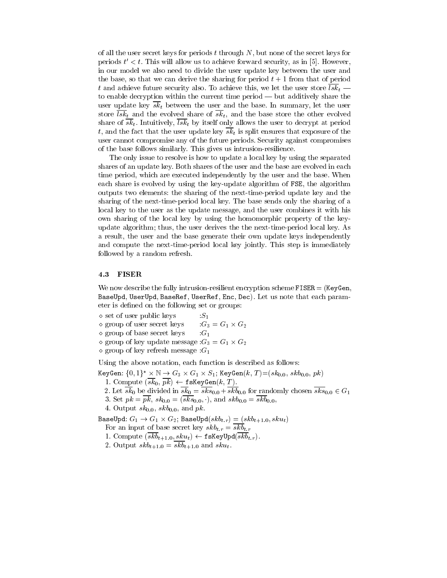of all the user secret keys for periods  $t$  through  $N$ , but none of the secret keys for periods  $t' < t$ . This will allow us to achieve forward security, as in [5]. However, in our model we also need to divide the user update key between the user and the base, so that we can derive the sharing for period  $t+1$  from that of period t and achieve future security also. To achieve this, we let the user store  $\overline{lsk}_t$  – to enable decryption within the current time period  $-$  but additively share the user update key  $s\overline{k_t}$  between the user and the base. In summary, let the user store  $\overline{lsk}_t$  and the evolved share of  $\overline{sk}_t$ , and the base store the other evolved share of  $s\overline{k}_t$ . Intuitively,  $\overline{lsk}_t$  by itself only allows the user to decrypt at period t, and the fact that the user update key  $\overline{sk}_t$  is split ensures that exposure of the user cannot compromise any of the future periods. Security against compromises of the base follows similarly. This gives us intrusion-resilience.

The only issue to resolve is how to update a local key by using the separated shares of an update key. Both shares of the user and the base are evolved in each time period, which are executed independently by the user and the base. When each share is evolved by using the key-update algorithm of FSE, the algorithm outputs two elements: the sharing of the next-time-period update key and the sharing of the next-time-period local key. The base sends only the sharing of a local key to the user as the update message, and the user combines it with his own sharing of the local key by using the homomorphic property of the keyupdate algorithm; thus, the user derives the the next-time-period local key. As a result, the user and the base generate their own update keys independently and compute the next-time-period local key jointly. This step is immediately followed by a random refresh.

#### 4.3 FISER

We now describe the fully intrusion-resilient encryption scheme  $FISER = (KeyGen,$ BaseUpd, UserUpd, BaseRef, UserRef, Enc, Dec). Let us note that each parameter is defined on the following set or groups:

- $\diamond$  set of user public keys
- $G_3 = G_1 \times G_2$  $\diamond$  group of user secret keys
- $\diamond$  group of base secret keys  $\cdot G_1$
- $\diamond$  group of key update message  $G_3=G_1\times G_2$
- $\diamond$  group of key refresh message  $G_1$

Using the above notation, each function is described as follows:

 $\cdot S_1$ 

- KeyGen:  $\{0,1\}^* \times \mathbb{N} \to G_3 \times G_1 \times S_1$ ; KeyGen $(k, T) = (sk_{0.0}, skb_{0.0}, pk)$
- 1. Compute  $(\overline{sk}_0, \overline{pk}) \leftarrow$  f sKeyGen $(k, T)$ .
- 2. Let  $\overline{sk}_0$  be divided in  $\overline{sk}_0 = \overline{sks}_{0,0} + \overline{skb}_{0,0}$  for randomly chosen  $\overline{sks}_{0,0} \in G_1$
- 3. Set  $pk = \overline{pk}$ ,  $sk_{0.0} = (\overline{sks}_{0.0}, \cdot)$ , and  $skb_{0.0} = \overline{skb}_{0.0}$ ,
- 4. Output  $sk_{0.0}$ ,  $skb_{0.0}$ , and  $pk$ .

BaseUpd:  $G_1 \rightarrow G_1 \times G_2$ ; BaseUpd $(\overline{skb}_{t,r}) = (\overline{skb}_{t+1,0}, \overline{sku}_t)$ For an input of base secret key  $skb_{t,r} = skb_{t,r}$ 

- 1. Compute  $(skb_{t+1.0}, sku_t) \leftarrow \texttt{fsKeyUpd}(skb_{t.r}).$
- 2. Output  $skb_{t+1,0} = \overline{skb}_{t+1,0}$  and  $sku_t$ .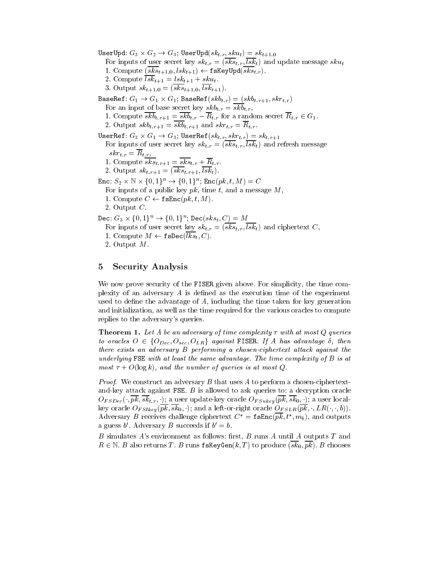UserUpd:  $G_3 \times G_2 \rightarrow G_3$ ; UserUpd $(sk_{t,r}, sku_t) = sk_{t+1.0}$ For inputs of user secret key  $sk_{t,r} = (s\overline{ks}_{t,r}, \overline{lsk}_{t})$  and update message  $sku_t$ 1. Compute  $(\overline{sks}_{t+1,0}, lsk_{t+1}) \leftarrow \texttt{fsKeyUpd}(\overline{sks}_{t,r}).$ 2. Compute  $\overline{lsk}_{t+1} = lsk_{t+1} + sku_t$ . 3. Output  $sk_{t+1.0} = (\overline{sks}_{t+1.0}, \overline{lsk}_{t+1}).$ BaseRef:  $G_1 \rightarrow G_1 \times G_1$ ; BaseRef $(skb_{t,r}) = (skb_{t,r+1}, skr_{t,r})$ For an input of base secret key  $skb_{t,r} = \overline{skb}_{t,r}$ , 1. Compute  $\overline{skb}_{t,r+1} = \overline{skb}_{t,r} - \overline{R}_{t,r}$  for a random secret  $\overline{R}_{t,r} \in G_1$ . 2. Output  $skb_{t,r+1} = skb_{t,r+1}$  and  $skr_{t,r} = R_{t,r}$ . UserRef:  $G_3 \times G_1 \rightarrow G_3$ ; UserRef $(sk_{t,r}, skr_{t,r}) = sk_{t,r+1}$ For inputs of user secret key  $sk_{t,r} = (\overline{sks}_{t,r}, \overline{lsk}_{t})$  and refresh message  $skr_{t,r} = \overline{R}_{t,r}$ 1. Compute  $\frac{1}{sks}$ <sub>t.r+1</sub> =  $\frac{1}{sks}$ <sub>t.r</sub> +  $\overline{R}$ <sub>t.r</sub>. 2. Output  $sk_{t,r+1} = (\overline{sks}_{t,r+1}, \overline{lsk}_{t}).$ Enc:  $S_2 \times \mathbb{N} \times \{0,1\}^n \to \{0,1\}^n$ ; Enc $(pk, t, M) = C$ For inputs of a public key  $pk$ , time t, and a message  $M$ , 1. Compute  $C \leftarrow \texttt{fsEnc}(pk, t, M)$ . 2. Output  $C$ . Dec:  $G_3 \times \{0,1\}^n \to \{0,1\}^n$ ; Dec $(sks_t, C) = M$ For inputs of user secret key  $sk_{t,r} = (\overline{sks}_{t,r}, \overline{lsk}_{t})$  and ciphertext C, 1. Compute  $M \leftarrow \texttt{fsDec}(\overline{lks}_t, C)$ . 2. Output  $M$ .

#### **Security Analysis** 5

We now prove security of the FISER given above. For simplicity, the time complexity of an adversary  $A$  is defined as the execution time of the experiment used to define the advantage of  $A$ , including the time taken for key generation and initialization, as well as the time required for the various oracles to compute replies to the adversary's queries.

**Theorem 1.** Let A be an adversary of time complexity  $\tau$  with at most Q queries to oracles  $O \in \{O_{Dec}, O_{sec}, O_{LR}\}\$  against FISER. If A has advantage  $\delta$ , then there exists an adversary B performing a chosen-ciphertext attack against the underlying  $FSE$  with at least the same advantage. The time complexity of  $B$  is at most  $\tau + O(\log k)$ , and the number of queries is at most Q.

*Proof.* We construct an adversary  $B$  that uses  $A$  to perform a chosen-ciphertextand-key attack against FSE.  $B$  is allowed to ask queries to: a decryption oracle  $O_{FSDec}(\cdot,\overline{pk},\overline{sk}_{t.r},\cdot)$ ; a user update-key oracle  $O_{FSubley}(\overline{pk},\overline{sk}_0,\cdot)$ ; a user localkey oracle  $O_{FSlkey}(\overline{pk}, \overline{sk}_0, \cdot)$ ; and a left-or-right oracle  $O_{FSLR}(\overline{pk}, \cdot, LR(\cdot, \cdot, b)).$ Adversary B receives challenge ciphertext  $C^* = \texttt{fsEnc}(\overline{pk}, t^*, m_b)$ , and outputs a guess b'. Adversary B succeeds if  $b' = b$ .

B simulates A's environment as follows: first, B runs A until A outputs T and  $R \in \mathbb{N}$ . B also returns T. B runs fsKeyGen $(k, T)$  to produce  $(\overline{s k_0}, \overline{pk})$ . B chooses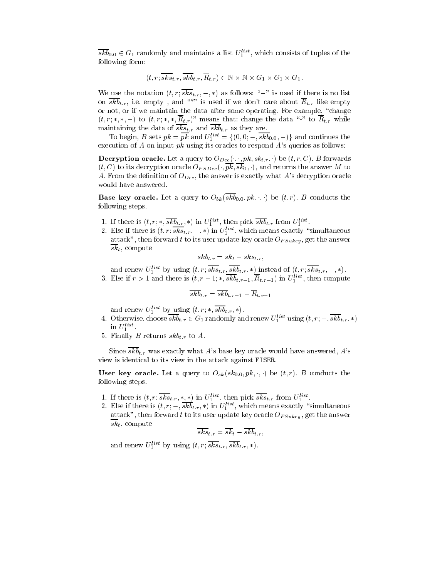$\overline{skb}_{0,0} \in G_1$  randomly and maintains a list  $U_1^{list}$ , which consists of tuples of the following form:

$$
(t, r; \overline{sks}_{t.r}, \overline{skb}_{t.r}, \overline{R}_{t.r}) \in \mathbb{N} \times \mathbb{N} \times G_1 \times G_1 \times G_1
$$

We use the notation  $(t, r; \overline{sks}_{t,r}, -, *)$  as follows: "-" is used if there is no list on  $\overline{skb}_{t,r}$ , i.e. empty, and "\*" is used if we don't care about  $\overline{R}_{t,r}$  like empty or not, or if we maintain the data after some operating. For example, "change  $(t, r; *, *, -)$  to  $(t, r; *, *, \overline{R}_{t,r})$ " means that: change the data "-" to  $\overline{R}_{t,r}$  while maintaining the data of  $\overline{sks}_{t,r}$  and  $\overline{skb}_{t,r}$  as they are.

To begin, B sets  $pk = \overline{pk}$  and  $U_1^{list} = \{(0, 0, -, \overline{skb}_{0,0}, -)\}\)$  and continues the execution of  $A$  on input  $pk$  using its oracles to respond  $A$ 's queries as follows:

**Decryption oracle.** Let a query to  $O_{Dec}(\cdot, \cdot, pk, sk_{t.r}, \cdot)$  be  $(t, r, C)$ . B forwards  $(t, C)$  to its decryption oracle  $O_{FSDec}(\cdot, pk, sk_0, \cdot)$ , and returns the answer M to A. From the definition of  $O_{Dec}$ , the answer is exactly what A's decryption oracle would have answered.

**Base key oracle.** Let a query to  $O_{bk}(\overline{skb}_{0,0},pk, \cdot, \cdot)$  be  $(t, r)$ . B conducts the following steps.

- 1. If there is  $(t, r; *, \overline{skb}_{t,r}, *)$  in  $U_1^{list}$ , then pick  $\overline{skb}_{t,r}$  from  $U_1^{list}$ .
- 2. Else if there is  $(t, r; \overline{sks}_{t,r}, -, *)$  in  $U_1^{list}$ , which means exactly "simultaneous attack", then forward t to its user update-key oracle  $O_{FSukey}$ , get the answer  $sk_t$ , compute

$$
\overline{skb}_{t.r}=\overline{sk}_{t}-\overline{sks}_{t.r}
$$

and renew  $U_1^{list}$  by using  $(t, r; \overline{sks}_{t.r}, \overline{skb}_{t.r}, *)$  instead of  $(t, r; \overline{sks}_{t.r}, -, *)$ .

3. Else if  $r > 1$  and there is  $(t, r-1; \frac{\pi}{6kb_{t,r-1}}, \overbrace{R}_{t,r-1})$  in  $U_1^{\text{list}},$  then compute

$$
\overline{skb}_{t,r} = \overline{skb}_{t,r-1} - \overline{R}_{t,r-1}
$$

and renew  $U_1^{list}$  by using  $(t, r; *, \overline{skb}_{t,r}, *)$ .

- 4. Otherwise, choose  $\overline{skb}_{t,r} \in G_1$  randomly and renew  $U_1^{list}$  using  $(t, r; -, \overline{skb}_{t,r}, *)$ in  $U_1^{list}$ .
- 5. Finally B returns  $skb_{t,r}$  to A.

Since  $\overline{skb}_{t,r}$  was exactly what A's base key oracle would have answered, A's view is identical to its view in the attack against FISER.

User key oracle. Let a query to  $O_{sk}(sk_{0.0},pk,\cdot,\cdot)$  be  $(t,r)$ . B conducts the following steps.

- 1. If there is  $(t, r; \overline{sks}_{t.r}, *, *)$  in  $U_1^{list}$ , then pick  $\overline{sks}_{t.r}$  from  $U_1^{list}$ .
- 2. Else if there is  $(t, r; -, \overline{skb}_{t,r}, *)$  in  $U_1^{list}$ , which means exactly "simultaneous attack", then forward t to its user update key oracle  $O_{FSukey}$ , get the answer  $sk_t$ , compute

$$
\overline{sks}_{t,r} = \overline{sk_t} - \overline{skb}_{t,r}
$$

and renew  $U_1^{list}$  by using  $(t, r; \overline{sks}_{t,r}, \overline{skb}_{t,r}, *)$ .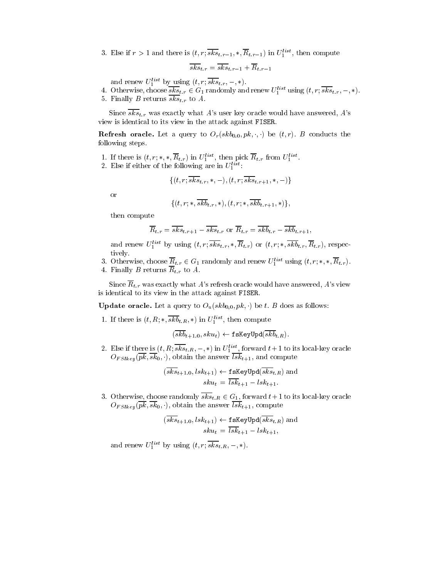3. Else if  $r > 1$  and there is  $(t, r; \overline{sks}_{t,r-1}, *, \overline{R}_{t,r-1})$  in  $U_1^{list}$ , then compute

$$
\overline{sks}_{t,r} = \overline{sks}_{t,r-1} + \overline{R}_{t,r-1}
$$

and renew  $U_1^{list}$  by using  $(t, r; \overline{sks}_{t,r}, -, *)$ .<br>4. Otherwise, choose  $\overline{sks}_{t,r} \in G_1$  randomly and renew  $U_1^{list}$  using  $(t, r; \overline{sks}_{t,r}, -, *)$ . 5. Finally B returns  $\overline{sks}_{t,r}$  to A.

Since  $\overline{sks}_{t,r}$  was exactly what A's user key oracle would have answered, A's view is identical to its view in the attack against FISER.

**Refresh oracle.** Let a query to  $O_r(skb_{0,0},pk, \cdot, \cdot)$  be  $(t, r)$ . B conducts the following steps.

1. If there is  $(t, r; *, *, \overline{R}_{t,r})$  in  $U_1^{list}$ , then pick  $\overline{R}_{t,r}$  from  $U_1^{list}$ .<br>2. Else if either of the following are in  $U_1^{list}$ .

$$
\{(t,r;\overline{sks}_{t.r},*,-),(t,r;\overline{sks}_{t.r+1},*,-)\}
$$

<sub>or</sub>

$$
\{(t,r;*,\overline{skb}_{t.r},*),(t,r;*,\overline{skb}_{t.r+1},*)\},\
$$

then compute

$$
\overline{R}_{t,r} = \overline{sks}_{t,r+1} - \overline{sks}_{t,r} \text{ or } \overline{R}_{t,r} = \overline{skb}_{t,r} - \overline{skb}_{t,r+1},
$$

and renew  $U_1^{list}$  by using  $(t, r, \overline{sks}_{t,r}, *, \overline{R}_{t,r})$  or  $(t, r, *, \overline{skb}_{t,r}, \overline{R}_{t,r})$ , respectively.

- 3. Otherwise, choose  $\overline{\mathbf{R}}_{t,r} \in G_1$  randomly and renew  $U_1^{list}$  using  $(t, r; *, *, \overline{R}_{t,r})$ .
- 4. Finally B returns  $\overline{R}_{t,r}$  to A.

Since  $\overline{R}_{t.r}$  was exactly what  $A$ 's refresh oracle would have answered,  $A$ 's view is identical to its view in the attack against FISER.

**Update oracle.** Let a query to  $O_u(skb_{0,0},pk,.)$  be t. B does as follows:

1. If there is  $(t, R; *, \overline{skb}_{t,R}, *)$  in  $U_1^{list}$ , then compute

$$
(\overline{skb}_{t+1.0}, sku_t) \gets \texttt{fsKeyUpd}(\overline{skb}_{t.R})
$$

2. Else if there is  $(t, R; \overline{sks}_{t,R}, -, *)$  in  $U_1^{list}$ , forward  $t+1$  to its local-key oracle  $O_{FSlkey}(\overline{pk}, \overline{sk}_0, \cdot)$ , obtain the answer  $\overline{lsk}_{t+1}$ , and compute

$$
(\overline{sks}_{t+1.0},lsk_{t+1}) \leftarrow \texttt{fsKeyUpd}(\overline{sks}_{t.R}) \text{ and } \\ sku_t = \overline{lsk}_{t+1} - lsk_{t+1}.
$$

3. Otherwise, choose randomly  $\overline{sks}_{t,R} \in G_1$ , forward  $t+1$  to its local-key oracle  $O_{FSlkey}(\overline{pk}, \overline{sk}_0, \cdot)$ , obtain the answer  $\overline{lsk}_{t+1}$ , compute

$$
\overline{(sks_{t+1.0},lsk_{t+1})} \leftarrow \texttt{fsKeyUpd}(\overline{sks}_{t.R}) \text{ and}
$$

$$
sku_t = \overline{lsk}_{t+1} - lsk_{t+1},
$$

and renew  $U_1^{list}$  by using  $(t, r; \overline{sks}_{t.R}, -, *)$ .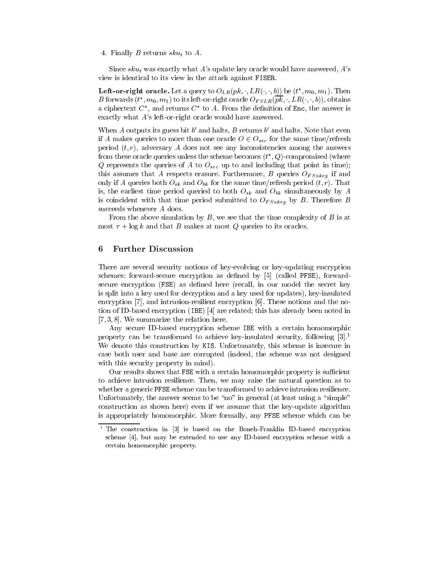## 4. Finally B returns  $sku_t$  to A.

Since  $sku_t$  was exactly what A's update key oracle would have answered, A's view is identical to its view in the attack against FISER.

**Left-or-right oracle.** Let a query to  $O_{LR}(pk, \cdot, LR(\cdot, \cdot, b))$  be  $(t^*, m_0, m_1)$ . Then B forwards  $(t^*, m_0, m_1)$  to its left-or-right oracle  $O_{FSLR}(\overline{pk}, \cdot, LR(\cdot, \cdot, b)),$  obtains a ciphertext  $C^*$ , and returns  $C^*$  to A. From the definition of Enc, the answer is exactly what A's left-or-right oracle would have answered.

When  $A$  outputs its guess bit  $b'$  and halts,  $B$  returns  $b'$  and halts. Note that even if A makes queries to more than one oracle  $O \in O_{\text{sec}}$  for the same time/refresh period  $(t, r)$ , adversary A does not see any inconsistencies among the answers from these oracle queries unless the scheme becomes  $(t^*,Q)$ -compromised (where Q represents the queries of A to  $O_{sec}$  up to and including that point in time); this assumes that A respects erasure. Furthermore, B queries  $O_{FSukey}$  if and only if A queries both  $O_{sk}$  and  $O_{bk}$  for the same time/refresh period  $(t, r)$ . That is, the earliest time period queried to both  $O_{sk}$  and  $O_{bk}$  simultaneously by A is coincident with that time period submitted to  $O_{FSukey}$  by B. Therefore B succeeds whenever A does.

From the above simulation by  $B$ , we see that the time complexity of  $B$  is at most  $\tau + \log k$  and that B makes at most Q queries to its oracles.

#### 6 **Further Discussion**

There are several security notions of key-evolving or key-updating encryption schemes: forward-secure encryption as defined by [5] (called PFSE), forwardsecure encryption (FSE) as defined here (recall, in our model the secret key is split into a key used for decryption and a key used for updates), key-insulated encryption [7], and intrusion-resilient encryption  $[6]$ . These notions and the notion of ID-based encryption (IBE) [4] are related; this has already been noted in  $[7, 3, 8]$ . We summarize the relation here.

Any secure ID-based encryption scheme IBE with a certain homomorphic property can be transformed to achieve key-insulated security, following  $[3]$ . We denote this construction by KIS. Unfortunately, this scheme is insecure in case both user and base are corrupted (indeed, the scheme was not designed with this security property in mind.

Our results shows that FSE with a certain homomorphic property is sufficient to achieve intrusion resilience. Then, we may raise the natural question as to whether a generic PFSE scheme can be transformed to achieve intrusion resilience. Unfortunately, the answer seems to be "no" in general (at least using a "simple" construction as shown here) even if we assume that the key-update algorithm is appropriately homomorphic. More formally, any PFSE scheme which can be

<sup>&</sup>lt;sup>1</sup> The construction in [3] is based on the Boneh-Franklin ID-based encryption scheme [4], but may be extended to use any ID-based encryption scheme with a certain homomorphic property.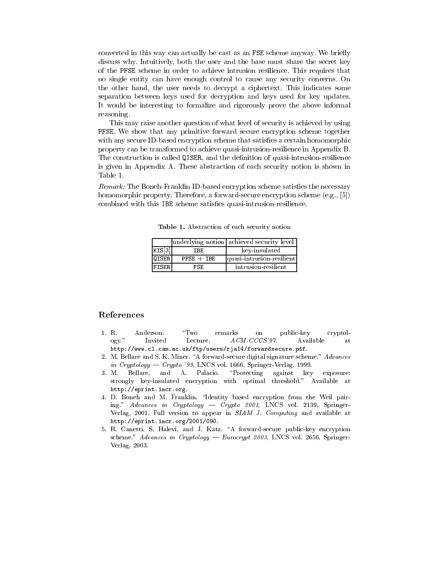converted in this way can actually be cast as an FSE scheme anyway. We briefly discuss why. Intuitively, both the user and the base must share the secret key of the PFSE scheme in order to achieve intrusion resilience. This requires that no single entity can have enough control to cause any security concerns. On the other hand, the user needs to decrypt a ciphertext. This indicates some separation between keys used for decryption and keys used for key updates. It would be interesting to formalize and rigorously prove the above informal reasoning.

This may raise another question of what level of security is achieved by using PFSE. We show that any primitive forward secure encryption scheme together with any secure ID-based encryption scheme that satisfies a certain homomorphic property can be transformed to achieve quasi-intrusion-resilience in Appendix B. The construction is called QISER, and the definition of quasi-intrusion-resilience is given in Appendix A. These abstraction of each security notion is shown in Table 1.

*Remark:* The Boneh-Franklin ID-based encryption scheme satisfies the necessary homomorphic property. Therefore, a forward-secure encryption scheme (e.g., [5]) combined with this IBE scheme satisfies quasi-intrusion-resilience.

|               |              | underlying notion achieved security level |
|---------------|--------------|-------------------------------------------|
| KIS[3]        | TRE.         | key-insulated                             |
| <b>OISER</b>  | $PFSE + IBE$ | quasi-intrusion-resilient                 |
| <b>IFTSFR</b> | FSF.         | intrusion-resilient                       |

Table 1. Abstraction of each security notion

## References

- $\mathrm{``Two}$ public-key 1. R. Anderson. remarks on cryptol Invited Lecture, ACM CCCS'97 Available  $\log y$ ." at http://www.cl.cam.ac.uk/ftp/users/rja14/forwardsecure.pdf.
- 2. M. Bellare and S. K. Miner. "A forward-secure digital signature scheme." Advances in Cryptology - Crypto '99, LNCS vol. 1666, Springer-Verlag, 1999.
- 3. M. Bellare, and A. Palacio. "Protecting against key exposure: strongly key-insulated encryption with optimal threshold." Available at http://eprint.iacr.org.
- 4. D. Boneh and M. Franklin. "Identity based encryption from the Weil pairing." Advances in Cryptology - Crypto 2001, LNCS vol. 2139, Springer-Verlag, 2001. Full version to appear in SIAM J. Computing and available at http://eprint.iacr.org/2001/090.
- 5. R. Canetti, S. Halevi, and J. Katz. "A forward-secure public-key encryption scheme." Advances in Cryptology - Eurocrypt 2003, LNCS vol. 2656, Springer-Verlag, 2003.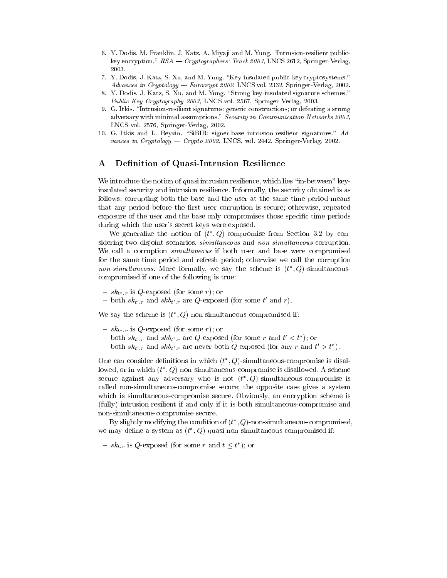- 6. Y. Dodis, M. Franklin, J. Katz, A. Miyaji and M. Yung. "Intrusion-resilient publickey encryption." RSA — Cryptographers' Track 2003, LNCS 2612, Springer-Verlag. 2003.
- 7. Y. Dodis, J. Katz, S. Xu, and M. Yung. "Key-insulated public-key cryptosystems." Advances in Cryptology - Eurocrypt 2002, LNCS vol. 2332, Springer-Verlag, 2002.
- 8. Y. Dodis, J. Katz, S. Xu, and M. Yung. "Strong key-insulated signature schemes." Public Key Cryptography 2003, LNCS vol. 2567, Springer-Verlag, 2003.
- 9. G. It kis. "Intrusion-resilient signatures: generic constructions; or defeating a strong adversary with minimal assumptions." Security in Communication Networks 2003, LNCS vol. 2576, Springer-Verlag, 2002.
- 10. G. Itkis and L. Reyzin. "SiBIR: signer-base intrusion-resilient signatures." Advances in Cryptology - Crypto 2002, LNCS, vol. 2442, Springer-Verlag, 2002.

#### $\bf{A}$ Definition of Quasi-Intrusion Resilience

We introduce the notion of quasi intrusion resilience, which lies "in-between" keyinsulated security and intrusion resilience. Informally, the security obtained is as follows: corrupting both the base and the user at the same time period means that any period before the first user corruption is secure; otherwise, repeated exposure of the user and the base only compromises those specific time periods during which the user's secret keys were exposed.

We generalize the notion of  $(t^*,Q)$ -compromise from Section 3.2 by considering two disjoint scenarios, *simultaneous* and *non-simultaneous* corruption. We call a corruption simultaneous if both user and base were compromised for the same time period and refresh period; otherwise we call the corruption *non-simultaneous.* More formally, we say the scheme is  $(t^*, Q)$ -simultaneouscompromised if one of the following is true:

- $s k_{t^*,r}$  is Q-exposed (for some r); or
- both  $sk_{t',r}$  and  $skb_{t',r}$  are Q-exposed (for some t' and r).

We say the scheme is  $(t^*, Q)$ -non-simultaneous-compromised if:

- $s k_{t^*,r}$  is Q-exposed (for some r); or
- both  $sk_{t',r}$  and  $skb_{t',r}$  are Q-exposed (for some r and  $t' < t^*$ ); or
- both  $sk_{t',r}$  and  $skb_{t',r}$  are never both Q-exposed (for any r and  $t' > t^*$ ).

One can consider definitions in which  $(t^*,Q)$ -simultaneous-compromise is disallowed, or in which  $(t^*,Q)$ -non-simultaneous-compromise is disallowed. A scheme secure against any adversary who is not  $(t^*,Q)$ -simultaneous-compromise is called non-simultaneous-compromise secure; the opposite case gives a system which is simultaneous-compromise secure. Obviously, an encryption scheme is (fully) intrusion resilient if and only if it is both simultaneous-compromise and non-simultaneous-compromise secure.

By slightly modifying the condition of  $(t^*,Q)$ -non-simultaneous-compromised, we may define a system as  $(t^*, Q)$ -quasi-non-simultaneous-compromised if:

 $- s k_{t,r}$  is Q-exposed (for some r and  $t \leq t^*$ ); or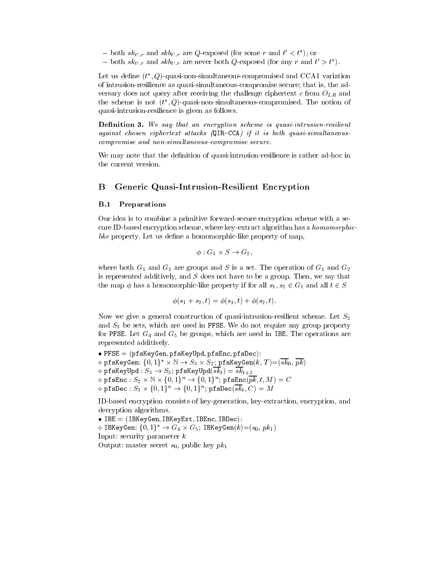- both  $sk_{t',r}$  and  $skb_{t',r}$  are Q-exposed (for some r and  $t' < t^*$ ); or
- both  $sk_{t',r}$  and  $skb_{t',r}$  are never both Q-exposed (for any r and  $t' > t^*$ ).

Let us define  $(t^*, Q)$ -quasi-non-simultaneous-compromised and CCA1 variation of intrusion-resilience as quasi-simultaneous-compromise secure; that is, the adversary does not query after receiving the challenge ciphertext c from  $O_{LR}$  and the scheme is not  $(t^*,Q)$ -quasi-non-simultaneous-compromised. The notion of quasi-intrusion-resilience is given as follows.

**Definition 3.** We say that an encryption scheme is quasi-intrusion-resilient against chosen ciphertext attacks  $(QIR-CCA)$  if it is both quasi-simultaneouscompromise and non-simultaneous-compromise secure.

We may note that the definition of quasi-intrusion-resilience is rather ad-hoc in the current version.

#### $\bf{B}$ **Generic Quasi-Intrusion-Resilient Encryption**

#### Preparations  $B.1$

Our idea is to combine a primitive forward-secure encryption scheme with a secure ID-based encryption scheme, where key-extract algorithm has a *homomorphic*like property. Let us define a homomorphic-like property of map,

$$
\phi: G_1 \times S \to G_2,
$$

where both  $G_1$  and  $G_2$  are groups and S is a set. The operation of  $G_1$  and  $G_2$ is represented additively, and  $S$  does not have to be a group. Then, we say that the map  $\phi$  has a homomorphic-like property if for all  $s_1, s_2 \in G_1$  and all  $t \in S$ 

$$
\phi(s_1 + s_2, t) = \phi(s_1, t) + \phi(s_2, t).
$$

Now we give a general construction of quasi-intrusion-resilient scheme. Let  $S_2$ and  $S_3$  be sets, which are used in PFSE. We do not require any group property for PFSE. Let  $G_4$  and  $G_5$  be groups, which are used in IBE. The operations are represented additively.

 $\bullet$  PFSE = (pfsKeyGen, pfsKeyUpd, pfsEnc, pfsDec):  $\Diamond$  pfsKeyGen:  $\{0,1\}^* \times \mathbb{N} \to S_3 \times S_2$ ; pfsKeyGen $(k, T) = (\overline{sk}_0, \overline{pk})$  $\diamond{\texttt{pfsKeyUpd}}: S_3 \to S_3; \, {\texttt{pfsKeyUpd}}(\overline{sk}_t) = \overline{sk}_{t+1} \\ \diamond{\texttt{pfsEnc}}: S_2 \times \mathbb{N} \times \{0,1\}^n \to \{0,1\}^n; \, {\texttt{pfsEnc}}(\overline{pk},t,M) = C$  $\Diamond$  pfsDec:  $S_3 \times \{0,1\}^n \rightarrow \{0,1\}^n$ ; pfsDec( $\overline{sk}_t$ ,  $C$ ) = M

ID-based encryption consists of key-generation, key-extraction, encryption, and decryption algorithms.

 $\bullet$  IBE = (IBKeyGen, IBKeyExt, IBEnc, IBDec):  $\Diamond$  IBKeyGen:  $\{0,1\}^* \rightarrow G_4 \times G_5$ ; IBKeyGen $(k) = (s_0, \, pk_1)$ Input: security parameter  $k$ Output: master secret  $s_0$ , public key  $pk_1$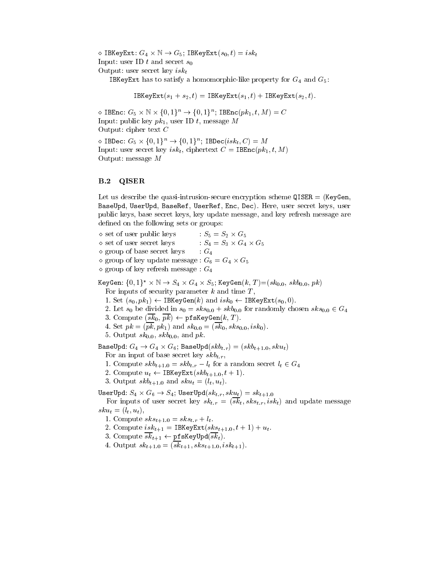$\Diamond$  IBKeyExt:  $G_4 \times \mathbb{N} \rightarrow G_5$ ; IBKeyExt $(s_0,t) = isk_t$ Input: user ID t and secret  $s_0$ Output: user secret key  $isk_t$ 

**IBKeyExt** has to satisfy a homomorphic-like property for  $G_4$  and  $G_5$ :

IBKeyExt $(s_1 + s_2, t)$  = IBKeyExt $(s_1, t)$  + IBKeyExt $(s_2, t)$ .

 $\Diamond$  IBEnc:  $G_5 \times \mathbb{N} \times \{0,1\}^n \rightarrow \{0,1\}^n$ ; IBEnc $(pk_1, t, M) = C$ Input: public key  $pk_1$ , user ID t, message M Output: cipher text  $C$ 

 $\Diamond$  IBDec:  $G_5 \times \{0,1\}^n \rightarrow \{0,1\}^n$ ; IBDec $(isk_t, C) = M$ Input: user secret key is  $k_t$ , ciphertext  $C = \text{IBEnc}(pk_1, t, M)$ Output: message  $M$ 

#### $B.2$ QISER

Let us describe the quasi-intrusion-secure encryption scheme  $QISER = (KeyGen,$ BaseUpd, UserUpd, BaseRef, UserRef, Enc, Dec). Here, user secret keys, user public keys, base secret keys, key update message, and key refresh message are defined on the following sets or groups:

 $\diamond$  set of user public keys :  $S_5 = S_2 \times G_5$  $S_4 = S_3 \times G_4 \times G_5$  $\diamond$  set of user secret keys  $\diamond$  group of base secret keys  $-G_4$  $\diamond$  group of key update message:  $G_6 = G_4 \times G_5$  $\diamond$  group of key refresh message :  $G_4$ 

KeyGen:  $\{0,1\}^* \times \mathbb{N} \to S_4 \times G_4 \times S_5$ ; KeyGen $(k, T) = (sk_{0,0}, skb_{0,0}, pk)$ For inputs of security parameter  $k$  and time  $T$ ,

1. Set  $(s_0, pk_1) \leftarrow$  IBKeyGen $(k)$  and  $isk_0 \leftarrow$  IBKeyExt $(s_0, 0)$ .

2. Let  $s_0$  be divided in  $s_0 = sks_{0.0} + skb_{0.0}$  for randomly chosen  $sks_{0.0} \in G_4$ 

3. Compute  $(sk_0, pk) \leftarrow pfsKeyGen(k, T)$ .

- 4. Set  $pk = (pk, pk_1)$  and  $sk_{0.0} = (sk_0, sks_{0.0}, isk_0)$ .
- 5. Output  $sk_{0.0}$ ,  $skb_{0.0}$ , and  $pk$ .

BaseUpd:  $G_4 \rightarrow G_4 \times G_6$ ; BaseUpd $(skb_{t,r}) = (skb_{t+1,0}, sku_t)$ For an input of base secret key  $skb_{t,r}$ ,

- 1. Compute  $skb_{t+1,0} = skb_{t,r} l_t$  for a random secret  $l_t \in G_4$
- 2. Compute  $u_t \leftarrow \text{IBKeyExt}(skb_{t+1.0}, t+1)$ .
- 3. Output  $skb_{t+1,0}$  and  $sku_t = (l_t, u_t)$ .

UserUpd:  $S_4 \times G_6 \rightarrow S_4$ ; UserUpd $(sk_{t,r}, sku_t) = sk_{t+1,0}$ 

For inputs of user secret key  $sk_{t,r} = (\overline{sk}_t, sks_{t,r}, isk_t)$  and update message  $sku_t = (l_t, u_t),$ 

- 1. Compute  $sks_{t+1,0} = sks_{t,r} + l_t$ .
- 2. Compute  $isk_{t+1} = \text{IBKeyExt}(sks_{t+1.0}, t+1) + u_t$ .
- 3. Compute  $sk_{t+1} \leftarrow \texttt{pfsKeyUpd}(sk_t)$ .
- 4. Output  $sk_{t+1,0} = (\overline{sk}_{t+1}, sks_{t+1,0}, isk_{t+1}).$